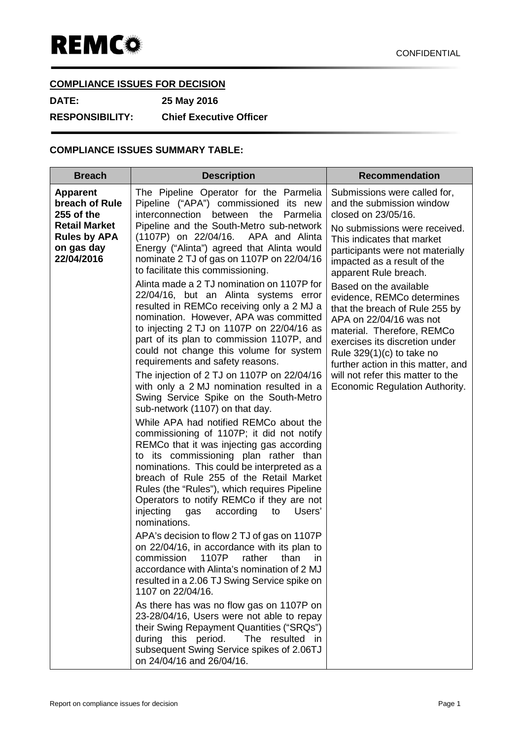## **COMPLIANCE ISSUES FOR DECISION**

**DATE: 25 May 2016**

**RESPONSIBILITY: Chief Executive Officer**

# **COMPLIANCE ISSUES SUMMARY TABLE:**

| <b>Breach</b>                                                                                                              | <b>Description</b>                                                                                                                                                                                                                                                                                                                                                                                                                                                                                                                                                                                                                                                                                                                                                                                                                                                                                                                                                                                                                                                                                                                                                                                                                                                                                                                                                                                                                                                                                                                                                                                                                                                                                                                                                                                                                                   | <b>Recommendation</b>                                                                                                                                                                                                                                                                                                                                                                                                                                                                                                                                                        |
|----------------------------------------------------------------------------------------------------------------------------|------------------------------------------------------------------------------------------------------------------------------------------------------------------------------------------------------------------------------------------------------------------------------------------------------------------------------------------------------------------------------------------------------------------------------------------------------------------------------------------------------------------------------------------------------------------------------------------------------------------------------------------------------------------------------------------------------------------------------------------------------------------------------------------------------------------------------------------------------------------------------------------------------------------------------------------------------------------------------------------------------------------------------------------------------------------------------------------------------------------------------------------------------------------------------------------------------------------------------------------------------------------------------------------------------------------------------------------------------------------------------------------------------------------------------------------------------------------------------------------------------------------------------------------------------------------------------------------------------------------------------------------------------------------------------------------------------------------------------------------------------------------------------------------------------------------------------------------------------|------------------------------------------------------------------------------------------------------------------------------------------------------------------------------------------------------------------------------------------------------------------------------------------------------------------------------------------------------------------------------------------------------------------------------------------------------------------------------------------------------------------------------------------------------------------------------|
| <b>Apparent</b><br>breach of Rule<br>255 of the<br><b>Retail Market</b><br><b>Rules by APA</b><br>on gas day<br>22/04/2016 | The Pipeline Operator for the Parmelia<br>Pipeline ("APA") commissioned its new<br>interconnection<br>between the<br>Parmelia<br>Pipeline and the South-Metro sub-network<br>(1107P) on 22/04/16. APA and Alinta<br>Energy ("Alinta") agreed that Alinta would<br>nominate 2 TJ of gas on 1107P on 22/04/16<br>to facilitate this commissioning.<br>Alinta made a 2 TJ nomination on 1107P for<br>22/04/16, but an Alinta systems error<br>resulted in REMCo receiving only a 2 MJ a<br>nomination. However, APA was committed<br>to injecting 2 TJ on 1107P on 22/04/16 as<br>part of its plan to commission 1107P, and<br>could not change this volume for system<br>requirements and safety reasons.<br>The injection of 2 TJ on 1107P on 22/04/16<br>with only a 2 MJ nomination resulted in a<br>Swing Service Spike on the South-Metro<br>sub-network (1107) on that day.<br>While APA had notified REMCo about the<br>commissioning of 1107P; it did not notify<br>REMCo that it was injecting gas according<br>to its commissioning plan rather than<br>nominations. This could be interpreted as a<br>breach of Rule 255 of the Retail Market<br>Rules (the "Rules"), which requires Pipeline<br>Operators to notify REMCo if they are not<br>injecting<br>according<br>to<br>Users'<br>gas<br>nominations.<br>APA's decision to flow 2 TJ of gas on 1107P<br>on 22/04/16, in accordance with its plan to<br>commission<br>1107P<br>rather<br>than<br>in<br>accordance with Alinta's nomination of 2 MJ<br>resulted in a 2.06 TJ Swing Service spike on<br>1107 on 22/04/16.<br>As there has was no flow gas on 1107P on<br>23-28/04/16, Users were not able to repay<br>their Swing Repayment Quantities ("SRQs")<br>during this period.<br>The resulted<br>- in<br>subsequent Swing Service spikes of 2.06TJ<br>on 24/04/16 and 26/04/16. | Submissions were called for,<br>and the submission window<br>closed on 23/05/16.<br>No submissions were received.<br>This indicates that market<br>participants were not materially<br>impacted as a result of the<br>apparent Rule breach.<br>Based on the available<br>evidence, REMCo determines<br>that the breach of Rule 255 by<br>APA on 22/04/16 was not<br>material. Therefore, REMCo<br>exercises its discretion under<br>Rule $329(1)(c)$ to take no<br>further action in this matter, and<br>will not refer this matter to the<br>Economic Regulation Authority. |